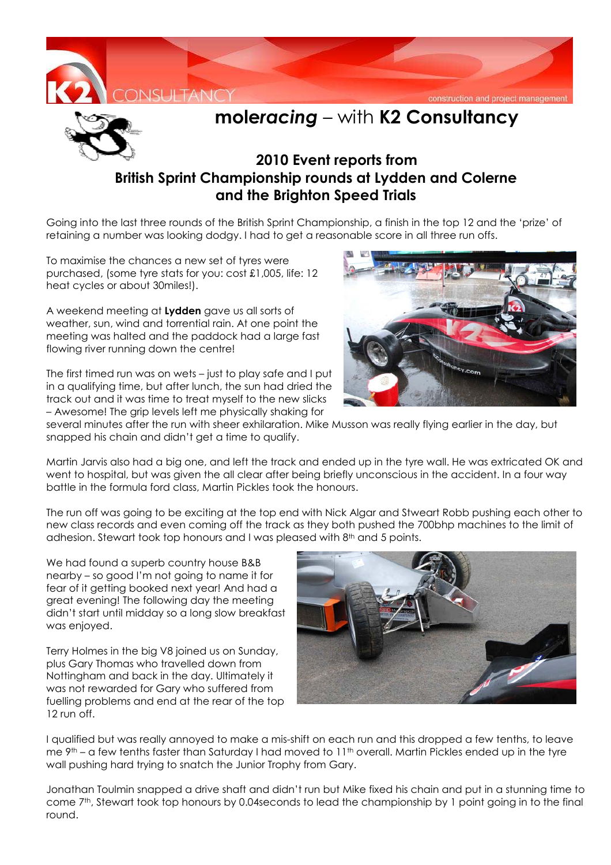



## **mole***racing* – with **K2 Consultancy**

## **2010 Event reports from British Sprint Championship rounds at Lydden and Colerne and the Brighton Speed Trials**

Going into the last three rounds of the British Sprint Championship, a finish in the top 12 and the 'prize' of retaining a number was looking dodgy. I had to get a reasonable score in all three run offs.

To maximise the chances a new set of tyres were purchased, (some tyre stats for you: cost £1,005, life: 12 heat cycles or about 30miles!).

A weekend meeting at **Lydden** gave us all sorts of weather, sun, wind and torrential rain. At one point the meeting was halted and the paddock had a large fast flowing river running down the centre!

The first timed run was on wets – just to play safe and I put in a qualifying time, but after lunch, the sun had dried the track out and it was time to treat myself to the new slicks – Awesome! The grip levels left me physically shaking for



several minutes after the run with sheer exhilaration. Mike Musson was really flying earlier in the day, but snapped his chain and didn't get a time to qualify.

Martin Jarvis also had a big one, and left the track and ended up in the tyre wall. He was extricated OK and went to hospital, but was given the all clear after being briefly unconscious in the accident. In a four way battle in the formula ford class, Martin Pickles took the honours.

The run off was going to be exciting at the top end with Nick Algar and Stweart Robb pushing each other to new class records and even coming off the track as they both pushed the 700bhp machines to the limit of adhesion. Stewart took top honours and I was pleased with 8th and 5 points.

We had found a superb country house B&B nearby – so good I'm not going to name it for fear of it getting booked next year! And had a great evening! The following day the meeting didn't start until midday so a long slow breakfast was enjoyed.

Terry Holmes in the big V8 joined us on Sunday, plus Gary Thomas who travelled down from Nottingham and back in the day. Ultimately it was not rewarded for Gary who suffered from fuelling problems and end at the rear of the top 12 run off.



I qualified but was really annoyed to make a mis-shift on each run and this dropped a few tenths, to leave me  $9<sup>th</sup> - a$  few tenths faster than Saturday I had moved to 11<sup>th</sup> overall. Martin Pickles ended up in the tyre wall pushing hard trying to snatch the Junior Trophy from Gary.

Jonathan Toulmin snapped a drive shaft and didn't run but Mike fixed his chain and put in a stunning time to come 7<sup>th</sup>, Stewart took top honours by 0.04seconds to lead the championship by 1 point going in to the final round.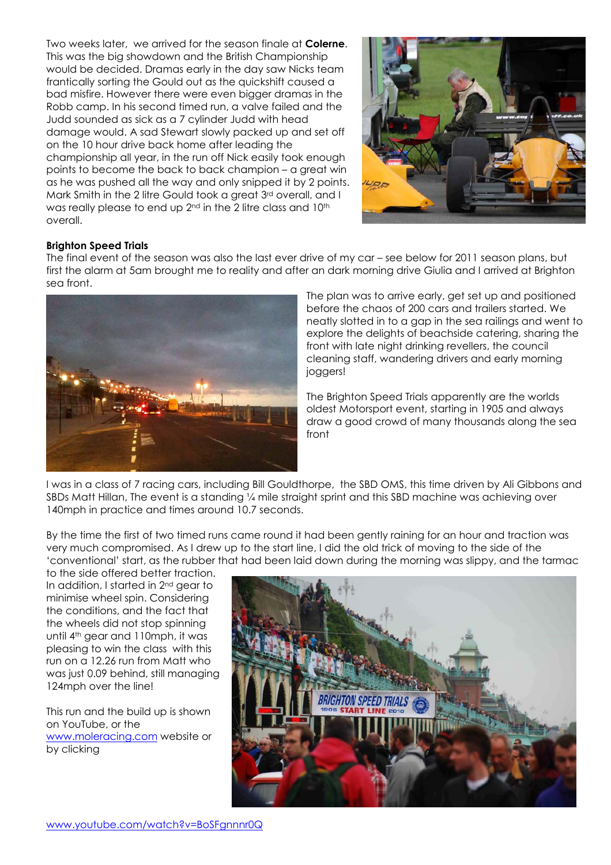Two weeks later, we arrived for the season finale at **Colerne**. This was the big showdown and the British Championship would be decided. Dramas early in the day saw Nicks team frantically sorting the Gould out as the quickshift caused a bad misfire. However there were even bigger dramas in the Robb camp. In his second timed run, a valve failed and the Judd sounded as sick as a 7 cylinder Judd with head damage would. A sad Stewart slowly packed up and set off on the 10 hour drive back home after leading the championship all year, in the run off Nick easily took enough points to become the back to back champion – a great win as he was pushed all the way and only snipped it by 2 points. Mark Smith in the 2 litre Gould took a great 3rd overall, and I was really please to end up 2<sup>nd</sup> in the 2 litre class and 10<sup>th</sup> overall.



## **Brighton Speed Trials**

The final event of the season was also the last ever drive of my car – see below for 2011 season plans, but first the alarm at 5am brought me to reality and after an dark morning drive Giulia and I arrived at Brighton sea front.



The plan was to arrive early, get set up and positioned before the chaos of 200 cars and trailers started. We neatly slotted in to a gap in the sea railings and went to explore the delights of beachside catering, sharing the front with late night drinking revellers, the council cleaning staff, wandering drivers and early morning joggers!

The Brighton Speed Trials apparently are the worlds oldest Motorsport event, starting in 1905 and always draw a good crowd of many thousands along the sea front

I was in a class of 7 racing cars, including Bill Gouldthorpe, the SBD OMS, this time driven by Ali Gibbons and SBDs Matt Hillan, The event is a standing ¼ mile straight sprint and this SBD machine was achieving over 140mph in practice and times around 10.7 seconds.

By the time the first of two timed runs came round it had been gently raining for an hour and traction was very much compromised. As I drew up to the start line, I did the old trick of moving to the side of the 'conventional' start, as the rubber that had been laid down during the morning was slippy, and the tarmac

to the side offered better traction. In addition, I started in 2nd gear to minimise wheel spin. Considering the conditions, and the fact that the wheels did not stop spinning until 4th gear and 110mph, it was pleasing to win the class with this run on a 12.26 run from Matt who was just 0.09 behind, still managing 124mph over the line!

This run and the build up is shown on YouTube, or the www.moleracing.com website or by clicking